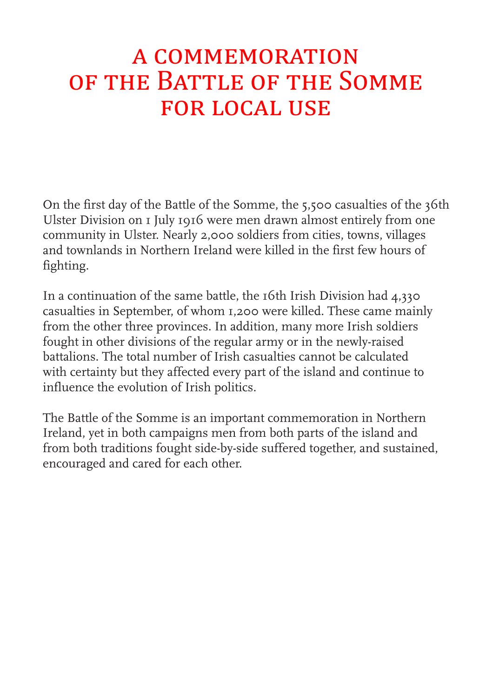# a commemoration of the Battle of the Somme for local use

On the first day of the Battle of the Somme, the 5,500 casualties of the 36th Ulster Division on 1 July 1916 were men drawn almost entirely from one community in Ulster. Nearly 2,000 soldiers from cities, towns, villages and townlands in Northern Ireland were killed in the first few hours of fighting.

In a continuation of the same battle, the 16th Irish Division had 4,330 casualties in September, of whom 1,200 were killed. These came mainly from the other three provinces. In addition, many more Irish soldiers fought in other divisions of the regular army or in the newly-raised battalions. The total number of Irish casualties cannot be calculated with certainty but they affected every part of the island and continue to influence the evolution of Irish politics.

The Battle of the Somme is an important commemoration in Northern Ireland, yet in both campaigns men from both parts of the island and from both traditions fought side-by-side suffered together, and sustained, encouraged and cared for each other.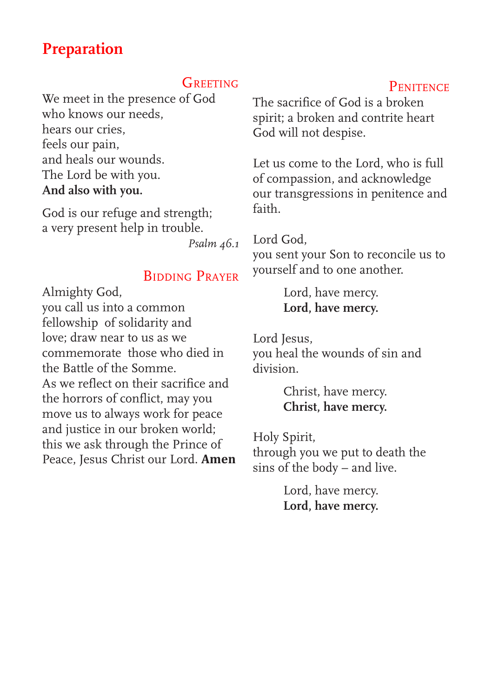## **Preparation**

#### **GREETING**

We meet in the presence of God who knows our needs, hears our cries, feels our pain, and heals our wounds. The Lord be with you. **And also with you.**

God is our refuge and strength; a very present help in trouble.

*Psalm 46.1* 

#### Bidding Prayer

Almighty God,

you call us into a common fellowship of solidarity and love; draw near to us as we commemorate those who died in the Battle of the Somme. As we reflect on their sacrifice and the horrors of conflict, may you move us to always work for peace and justice in our broken world; this we ask through the Prince of Peace, Jesus Christ our Lord. **Amen**

## The sacrifice of God is a broken spirit; a broken and contrite heart God will not despise.

Let us come to the Lord, who is full of compassion, and acknowledge our transgressions in penitence and faith.

### Lord God,

you sent your Son to reconcile us to yourself and to one another.

> Lord, have mercy. **Lord, have mercy.**

Lord Jesus, you heal the wounds of sin and division.

> Christ, have mercy. **Christ, have mercy.**

Holy Spirit, through you we put to death the sins of the body – and live.

> Lord, have mercy. **Lord, have mercy.**

#### **PENITENCE**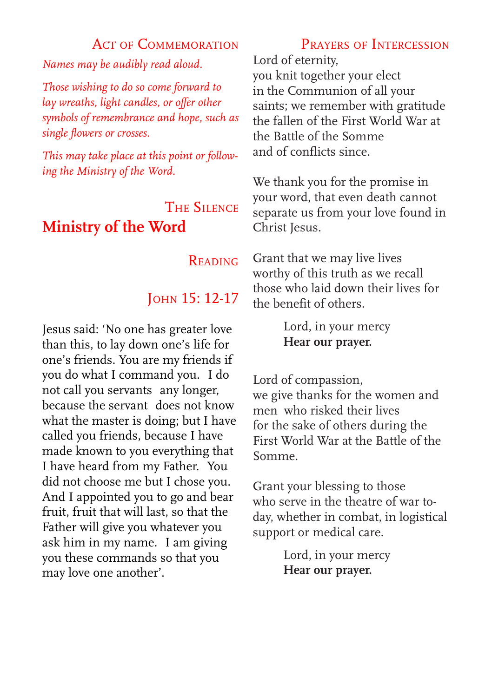#### ACT OF COMMEMORATION

*Names may be audibly read aloud.*

*Those wishing to do so come forward to lay wreaths, light candles, or offer other symbols of remembrance and hope, such as single flowers or crosses.*

*This may take place at this point or following the Ministry of the Word.*

## The Silence **Ministry of the Word**

#### **READING**

## John 15: 12-17

Jesus said: 'No one has greater love than this, to lay down one's life for one's friends. You are my friends if you do what I command you. I do not call you servants any longer, because the servant does not know what the master is doing; but I have called you friends, because I have made known to you everything that I have heard from my Father. You did not choose me but I chose you. And I appointed you to go and bear fruit, fruit that will last, so that the Father will give you whatever you ask him in my name. I am giving you these commands so that you may love one another'.

## Prayers of Intercession

Lord of eternity, you knit together your elect in the Communion of all your saints; we remember with gratitude the fallen of the First World War at the Battle of the Somme and of conflicts since.

We thank you for the promise in your word, that even death cannot separate us from your love found in Christ Jesus.

Grant that we may live lives worthy of this truth as we recall those who laid down their lives for the benefit of others.

> Lord, in your mercy **Hear our prayer.**

Lord of compassion, we give thanks for the women and men who risked their lives for the sake of others during the First World War at the Battle of the Somme.

Grant your blessing to those who serve in the theatre of war today, whether in combat, in logistical support or medical care.

> Lord, in your mercy **Hear our prayer.**